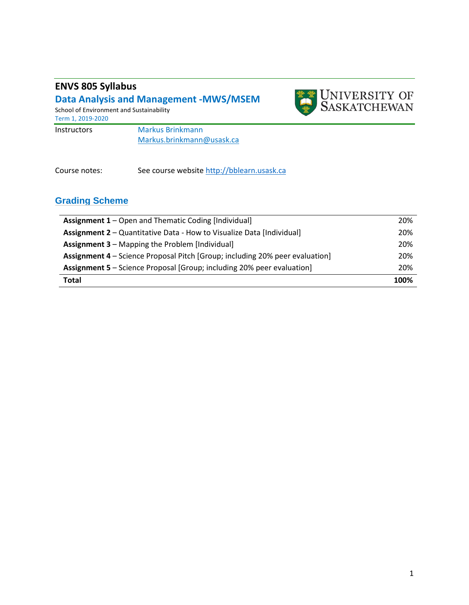# **ENVS 805 Syllabus**

### **Data Analysis and Management -MWS/MSEM**  School of Environment and Sustainability Term 1, 2019-2020 Instructors Markus Brinkmann



Course notes: See course websit[e http://bblearn.usask.ca](http://bblearn.usask.ca/)

Markus.brinkmann@usask.ca

### **Grading Scheme**

| <b>Assignment 1</b> – Open and Thematic Coding [Individual]                   | 20%  |
|-------------------------------------------------------------------------------|------|
| <b>Assignment 2</b> – Quantitative Data - How to Visualize Data [Individual]  | 20%  |
| <b>Assignment 3 - Mapping the Problem [Individual]</b>                        | 20%  |
| Assignment 4 - Science Proposal Pitch [Group; including 20% peer evaluation]  | 20%  |
| <b>Assignment 5</b> – Science Proposal [Group; including 20% peer evaluation] | 20%  |
| <b>Total</b>                                                                  | 100% |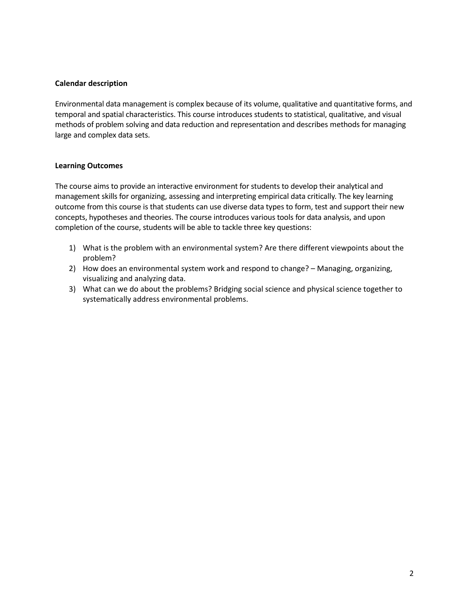#### **Calendar description**

Environmental data management is complex because of its volume, qualitative and quantitative forms, and temporal and spatial characteristics. This course introduces students to statistical, qualitative, and visual methods of problem solving and data reduction and representation and describes methods for managing large and complex data sets.

### **Learning Outcomes**

The course aims to provide an interactive environment for students to develop their analytical and management skills for organizing, assessing and interpreting empirical data critically. The key learning outcome from this course is that students can use diverse data types to form, test and support their new concepts, hypotheses and theories. The course introduces various tools for data analysis, and upon completion of the course, students will be able to tackle three key questions:

- 1) What is the problem with an environmental system? Are there different viewpoints about the problem?
- 2) How does an environmental system work and respond to change? Managing, organizing, visualizing and analyzing data.
- 3) What can we do about the problems? Bridging social science and physical science together to systematically address environmental problems.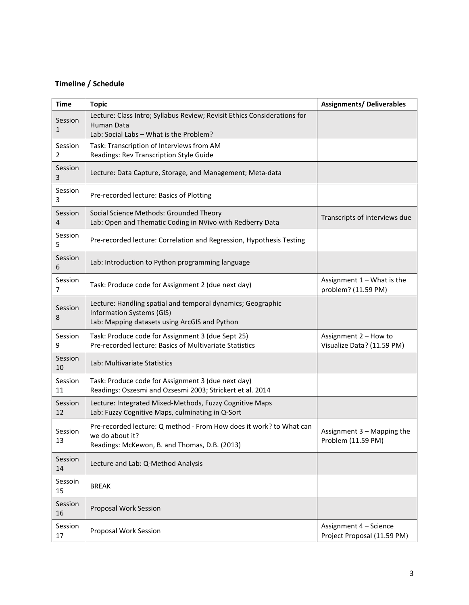### **Timeline / Schedule**

| <b>Time</b>             | <b>Topic</b>                                                                                                                              | <b>Assignments/ Deliverables</b>                      |
|-------------------------|-------------------------------------------------------------------------------------------------------------------------------------------|-------------------------------------------------------|
| Session<br>$\mathbf{1}$ | Lecture: Class Intro; Syllabus Review; Revisit Ethics Considerations for<br><b>Human Data</b><br>Lab: Social Labs - What is the Problem?  |                                                       |
| Session<br>2            | Task: Transcription of Interviews from AM<br>Readings: Rev Transcription Style Guide                                                      |                                                       |
| Session<br>3            | Lecture: Data Capture, Storage, and Management; Meta-data                                                                                 |                                                       |
| Session<br>3            | Pre-recorded lecture: Basics of Plotting                                                                                                  |                                                       |
| Session<br>4            | Social Science Methods: Grounded Theory<br>Lab: Open and Thematic Coding in NVivo with Redberry Data                                      | Transcripts of interviews due                         |
| Session<br>5            | Pre-recorded lecture: Correlation and Regression, Hypothesis Testing                                                                      |                                                       |
| Session<br>6            | Lab: Introduction to Python programming language                                                                                          |                                                       |
| Session<br>7            | Task: Produce code for Assignment 2 (due next day)                                                                                        | Assignment $1 -$ What is the<br>problem? (11.59 PM)   |
| Session<br>8            | Lecture: Handling spatial and temporal dynamics; Geographic<br>Information Systems (GIS)<br>Lab: Mapping datasets using ArcGIS and Python |                                                       |
| Session<br>9            | Task: Produce code for Assignment 3 (due Sept 25)<br>Pre-recorded lecture: Basics of Multivariate Statistics                              | Assignment 2 - How to<br>Visualize Data? (11.59 PM)   |
| Session<br>10           | Lab: Multivariate Statistics                                                                                                              |                                                       |
| Session<br>11           | Task: Produce code for Assignment 3 (due next day)<br>Readings: Oszesmi and Ozsesmi 2003; Strickert et al. 2014                           |                                                       |
| Session<br>12           | Lecture: Integrated Mixed-Methods, Fuzzy Cognitive Maps<br>Lab: Fuzzy Cognitive Maps, culminating in Q-Sort                               |                                                       |
| Session<br>13           | Pre-recorded lecture: Q method - From How does it work? to What can<br>we do about it?<br>Readings: McKewon, B. and Thomas, D.B. (2013)   | Assignment 3 - Mapping the<br>Problem (11.59 PM)      |
| Session<br>14           | Lecture and Lab: Q-Method Analysis                                                                                                        |                                                       |
| Sessoin<br>15           | <b>BREAK</b>                                                                                                                              |                                                       |
| Session<br>16           | Proposal Work Session                                                                                                                     |                                                       |
| Session<br>17           | Proposal Work Session                                                                                                                     | Assignment 4 - Science<br>Project Proposal (11.59 PM) |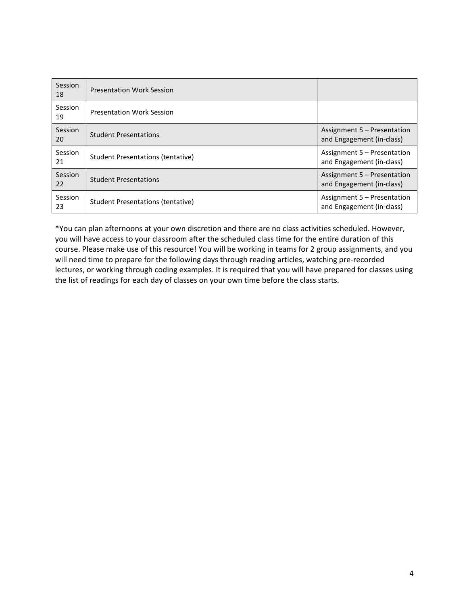| Session<br>18 | <b>Presentation Work Session</b>  |                                                          |
|---------------|-----------------------------------|----------------------------------------------------------|
| Session<br>19 | <b>Presentation Work Session</b>  |                                                          |
| Session<br>20 | <b>Student Presentations</b>      | Assignment 5 – Presentation<br>and Engagement (in-class) |
| Session<br>21 | Student Presentations (tentative) | Assignment 5 – Presentation<br>and Engagement (in-class) |
| Session<br>22 | <b>Student Presentations</b>      | Assignment 5 – Presentation<br>and Engagement (in-class) |
| Session<br>23 | Student Presentations (tentative) | Assignment 5 – Presentation<br>and Engagement (in-class) |

\*You can plan afternoons at your own discretion and there are no class activities scheduled. However, you will have access to your classroom after the scheduled class time for the entire duration of this course. Please make use of this resource! You will be working in teams for 2 group assignments, and you will need time to prepare for the following days through reading articles, watching pre-recorded lectures, or working through coding examples. It is required that you will have prepared for classes using the list of readings for each day of classes on your own time before the class starts.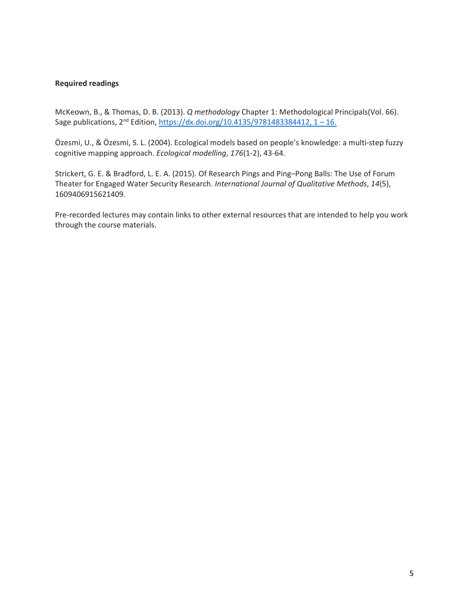#### **Required readings**

McKeown, B., & Thomas, D. B. (2013). *Q methodology* Chapter 1: Methodological Principals(Vol. 66). Sage publications,  $2^{nd}$  Edition,  $\frac{https://dx.doi.org/10.4135/9781483384412, 1-16.}$ 

Özesmi, U., & Özesmi, S. L. (2004). Ecological models based on people's knowledge: a multi-step fuzzy cognitive mapping approach. *Ecological modelling*, *176*(1-2), 43-64.

Strickert, G. E. & Bradford, L. E. A. (2015). Of Research Pings and Ping–Pong Balls: The Use of Forum Theater for Engaged Water Security Research. *International Journal of Qualitative Methods*, *14*(5), 1609406915621409.

Pre-recorded lectures may contain links to other external resources that are intended to help you work through the course materials.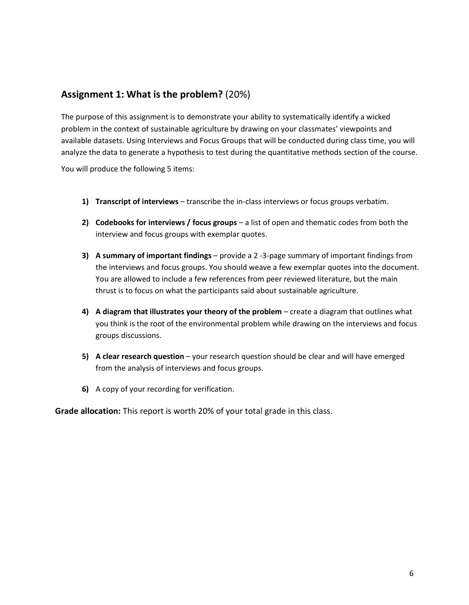## **Assignment 1: What is the problem?** (20%)

The purpose of this assignment is to demonstrate your ability to systematically identify a wicked problem in the context of sustainable agriculture by drawing on your classmates' viewpoints and available datasets. Using Interviews and Focus Groups that will be conducted during class time, you will analyze the data to generate a hypothesis to test during the quantitative methods section of the course.

You will produce the following 5 items:

- **1) Transcript of interviews** transcribe the in-class interviews or focus groups verbatim.
- **2) Codebooks for interviews / focus groups** a list of open and thematic codes from both the interview and focus groups with exemplar quotes.
- **3) A summary of important findings**  provide a 2 -3-page summary of important findings from the interviews and focus groups. You should weave a few exemplar quotes into the document. You are allowed to include a few references from peer reviewed literature, but the main thrust is to focus on what the participants said about sustainable agriculture.
- **4) A diagram that illustrates your theory of the problem** create a diagram that outlines what you think is the root of the environmental problem while drawing on the interviews and focus groups discussions.
- **5) A clear research question** your research question should be clear and will have emerged from the analysis of interviews and focus groups.
- **6)** A copy of your recording for verification.

**Grade allocation:** This report is worth 20% of your total grade in this class.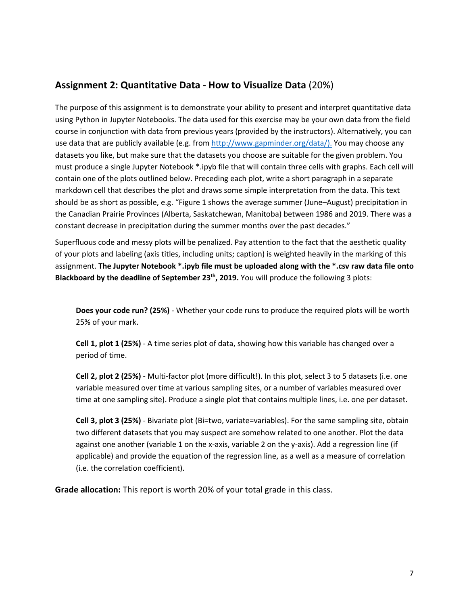### **Assignment 2: Quantitative Data - How to Visualize Data** (20%)

The purpose of this assignment is to demonstrate your ability to present and interpret quantitative data using Python in Jupyter Notebooks. The data used for this exercise may be your own data from the field course in conjunction with data from previous years (provided by the instructors). Alternatively, you can use data that are publicly available (e.g. from [http://www.gapminder.org/data/\)](http://www.gapminder.org/data/). You may choose any datasets you like, but make sure that the datasets you choose are suitable for the given problem. You must produce a single Jupyter Notebook \*.ipyb file that will contain three cells with graphs. Each cell will contain one of the plots outlined below. Preceding each plot, write a short paragraph in a separate markdown cell that describes the plot and draws some simple interpretation from the data. This text should be as short as possible, e.g. "Figure 1 shows the average summer (June–August) precipitation in the Canadian Prairie Provinces (Alberta, Saskatchewan, Manitoba) between 1986 and 2019. There was a constant decrease in precipitation during the summer months over the past decades."

Superfluous code and messy plots will be penalized. Pay attention to the fact that the aesthetic quality of your plots and labeling (axis titles, including units; caption) is weighted heavily in the marking of this assignment. **The Jupyter Notebook \*.ipyb file must be uploaded along with the \*.csv raw data file onto Blackboard by the deadline of September 23th, 2019.** You will produce the following 3 plots:

**Does your code run? (25%)** - Whether your code runs to produce the required plots will be worth 25% of your mark.

**Cell 1, plot 1 (25%)** - A time series plot of data, showing how this variable has changed over a period of time.

**Cell 2, plot 2 (25%)** - Multi-factor plot (more difficult!). In this plot, select 3 to 5 datasets (i.e. one variable measured over time at various sampling sites, or a number of variables measured over time at one sampling site). Produce a single plot that contains multiple lines, i.e. one per dataset.

**Cell 3, plot 3 (25%)** - Bivariate plot (Bi=two, variate=variables). For the same sampling site, obtain two different datasets that you may suspect are somehow related to one another. Plot the data against one another (variable 1 on the x-axis, variable 2 on the y-axis). Add a regression line (if applicable) and provide the equation of the regression line, as a well as a measure of correlation (i.e. the correlation coefficient).

**Grade allocation:** This report is worth 20% of your total grade in this class.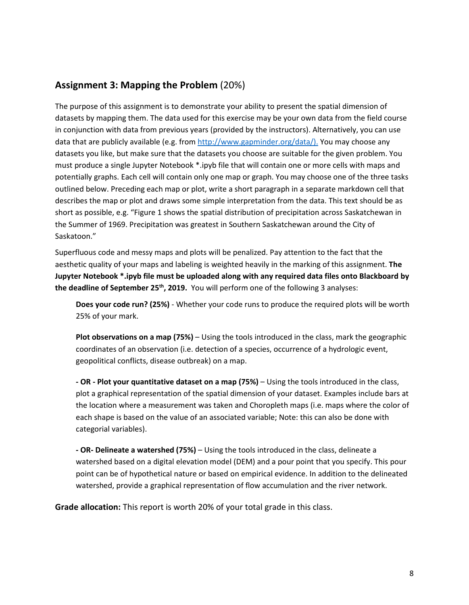# **Assignment 3: Mapping the Problem** (20%)

The purpose of this assignment is to demonstrate your ability to present the spatial dimension of datasets by mapping them. The data used for this exercise may be your own data from the field course in conjunction with data from previous years (provided by the instructors). Alternatively, you can use data that are publicly available (e.g. from [http://www.gapminder.org/data/\)](http://www.gapminder.org/data/). You may choose any datasets you like, but make sure that the datasets you choose are suitable for the given problem. You must produce a single Jupyter Notebook \*.ipyb file that will contain one or more cells with maps and potentially graphs. Each cell will contain only one map or graph. You may choose one of the three tasks outlined below. Preceding each map or plot, write a short paragraph in a separate markdown cell that describes the map or plot and draws some simple interpretation from the data. This text should be as short as possible, e.g. "Figure 1 shows the spatial distribution of precipitation across Saskatchewan in the Summer of 1969. Precipitation was greatest in Southern Saskatchewan around the City of Saskatoon."

Superfluous code and messy maps and plots will be penalized. Pay attention to the fact that the aesthetic quality of your maps and labeling is weighted heavily in the marking of this assignment. **The Jupyter Notebook \*.ipyb file must be uploaded along with any required data files onto Blackboard by the deadline of September 25th, 2019.** You will perform one of the following 3 analyses:

**Does your code run? (25%)** - Whether your code runs to produce the required plots will be worth 25% of your mark.

**Plot observations on a map (75%)** – Using the tools introduced in the class, mark the geographic coordinates of an observation (i.e. detection of a species, occurrence of a hydrologic event, geopolitical conflicts, disease outbreak) on a map.

**- OR - Plot your quantitative dataset on a map (75%)** – Using the tools introduced in the class, plot a graphical representation of the spatial dimension of your dataset. Examples include bars at the location where a measurement was taken and Choropleth maps (i.e. maps where the color of each shape is based on the value of an associated variable; Note: this can also be done with categorial variables).

**- OR- Delineate a watershed (75%)** – Using the tools introduced in the class, delineate a watershed based on a digital elevation model (DEM) and a pour point that you specify. This pour point can be of hypothetical nature or based on empirical evidence. In addition to the delineated watershed, provide a graphical representation of flow accumulation and the river network.

**Grade allocation:** This report is worth 20% of your total grade in this class.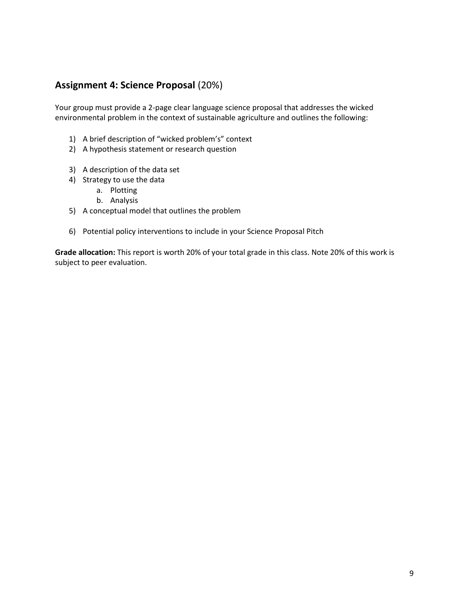# **Assignment 4: Science Proposal** (20%)

Your group must provide a 2-page clear language science proposal that addresses the wicked environmental problem in the context of sustainable agriculture and outlines the following:

- 1) A brief description of "wicked problem's" context
- 2) A hypothesis statement or research question
- 3) A description of the data set
- 4) Strategy to use the data
	- a. Plotting
	- b. Analysis
- 5) A conceptual model that outlines the problem
- 6) Potential policy interventions to include in your Science Proposal Pitch

**Grade allocation:** This report is worth 20% of your total grade in this class. Note 20% of this work is subject to peer evaluation.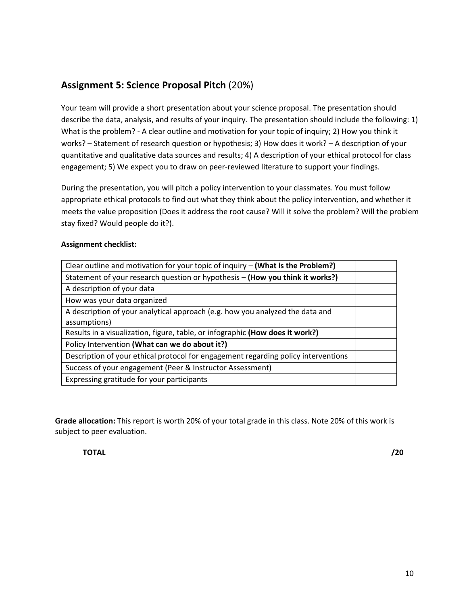# **Assignment 5: Science Proposal Pitch** (20%)

Your team will provide a short presentation about your science proposal. The presentation should describe the data, analysis, and results of your inquiry. The presentation should include the following: 1) What is the problem? - A clear outline and motivation for your topic of inquiry; 2) How you think it works? – Statement of research question or hypothesis; 3) How does it work? – A description of your quantitative and qualitative data sources and results; 4) A description of your ethical protocol for class engagement; 5) We expect you to draw on peer-reviewed literature to support your findings.

During the presentation, you will pitch a policy intervention to your classmates. You must follow appropriate ethical protocols to find out what they think about the policy intervention, and whether it meets the value proposition (Does it address the root cause? Will it solve the problem? Will the problem stay fixed? Would people do it?).

#### **Assignment checklist:**

| Clear outline and motivation for your topic of inquiry – (What is the Problem?)    |  |
|------------------------------------------------------------------------------------|--|
| Statement of your research question or hypothesis - (How you think it works?)      |  |
| A description of your data                                                         |  |
| How was your data organized                                                        |  |
| A description of your analytical approach (e.g. how you analyzed the data and      |  |
| assumptions)                                                                       |  |
| Results in a visualization, figure, table, or infographic (How does it work?)      |  |
| Policy Intervention (What can we do about it?)                                     |  |
| Description of your ethical protocol for engagement regarding policy interventions |  |
| Success of your engagement (Peer & Instructor Assessment)                          |  |
| Expressing gratitude for your participants                                         |  |

**Grade allocation:** This report is worth 20% of your total grade in this class. Note 20% of this work is subject to peer evaluation.

**TOTAL /20**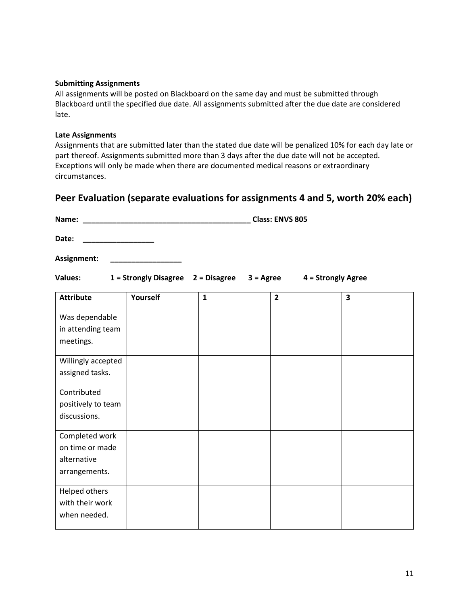#### **Submitting Assignments**

All assignments will be posted on Blackboard on the same day and must be submitted through Blackboard until the specified due date. All assignments submitted after the due date are considered late.

#### **Late Assignments**

Assignments that are submitted later than the stated due date will be penalized 10% for each day late or part thereof. Assignments submitted more than 3 days after the due date will not be accepted. Exceptions will only be made when there are documented medical reasons or extraordinary circumstances.

### **Peer Evaluation (separate evaluations for assignments 4 and 5, worth 20% each)**

**Name: \_\_\_\_\_\_\_\_\_\_\_\_\_\_\_\_\_\_\_\_\_\_\_\_\_\_\_\_\_\_\_\_\_\_\_\_\_\_\_\_ Class: ENVS 805** 

**Date: \_\_\_\_\_\_\_\_\_\_\_\_\_\_\_\_\_** 

**Assignment: \_\_\_\_\_\_\_\_\_\_\_\_\_\_\_\_\_** 

**Values: 1 = Strongly Disagree 2 = Disagree 3 = Agree 4 = Strongly Agree** 

| <b>Attribute</b>   | Yourself | $\mathbf{1}$ | $\overline{2}$ | $\overline{\mathbf{3}}$ |
|--------------------|----------|--------------|----------------|-------------------------|
| Was dependable     |          |              |                |                         |
| in attending team  |          |              |                |                         |
| meetings.          |          |              |                |                         |
| Willingly accepted |          |              |                |                         |
| assigned tasks.    |          |              |                |                         |
| Contributed        |          |              |                |                         |
| positively to team |          |              |                |                         |
| discussions.       |          |              |                |                         |
| Completed work     |          |              |                |                         |
| on time or made    |          |              |                |                         |
| alternative        |          |              |                |                         |
| arrangements.      |          |              |                |                         |
| Helped others      |          |              |                |                         |
| with their work    |          |              |                |                         |
| when needed.       |          |              |                |                         |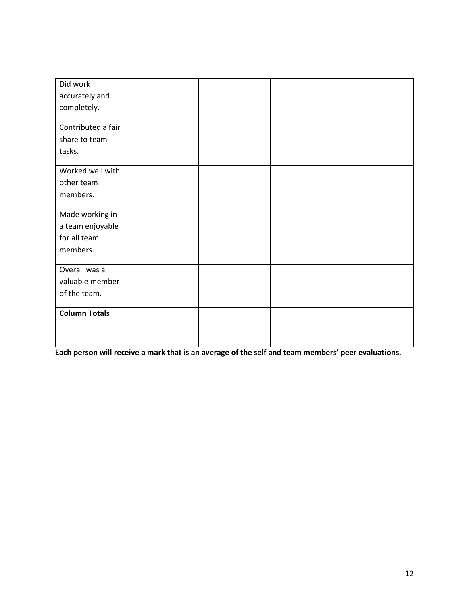| Did work             |  |  |
|----------------------|--|--|
| accurately and       |  |  |
| completely.          |  |  |
|                      |  |  |
| Contributed a fair   |  |  |
| share to team        |  |  |
| tasks.               |  |  |
|                      |  |  |
| Worked well with     |  |  |
| other team           |  |  |
| members.             |  |  |
|                      |  |  |
| Made working in      |  |  |
| a team enjoyable     |  |  |
| for all team         |  |  |
| members.             |  |  |
| Overall was a        |  |  |
| valuable member      |  |  |
|                      |  |  |
|                      |  |  |
| <b>Column Totals</b> |  |  |
|                      |  |  |
|                      |  |  |
| of the team.         |  |  |

**Each person will receive a mark that is an average of the self and team members' peer evaluations.**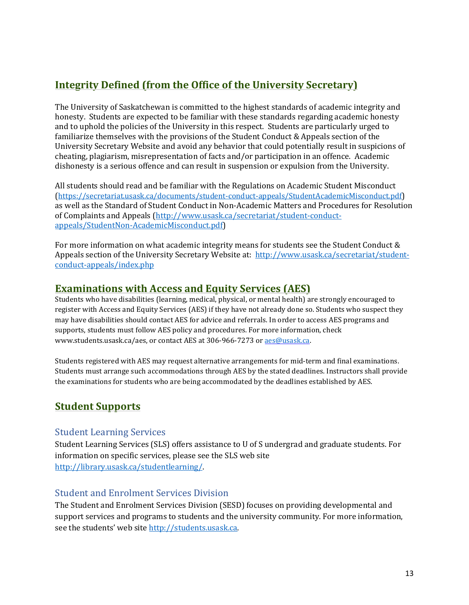# **Integrity Defined (from the Office of the University Secretary)**

The University of Saskatchewan is committed to the highest standards of academic integrity and honesty. Students are expected to be familiar with these standards regarding academic honesty and to uphold the policies of the University in this respect. Students are particularly urged to familiarize themselves with the provisions of the Student Conduct & Appeals section of the University Secretary Website and avoid any behavior that could potentially result in suspicions of cheating, plagiarism, misrepresentation of facts and/or participation in an offence. Academic dishonesty is a serious offence and can result in suspension or expulsion from the University.

All students should read and be familiar with the Regulations on Academic Student Misconduct (<https://secretariat.usask.ca/documents/student-conduct-appeals/StudentAcademicMisconduct.pdf>) as well as the Standard of Student Conduct in Non-Academic Matters and Procedures for Resolution of Complaints and Appeals [\(http://www.usask.ca/secretariat/student-conduct](http://www.usask.ca/secretariat/student-conduct-appeals/StudentNon-AcademicMisconduct.pdf)[appeals/StudentNon-AcademicMisconduct.pdf\)](http://www.usask.ca/secretariat/student-conduct-appeals/StudentNon-AcademicMisconduct.pdf)

For more information on what academic integrity means for students see the Student Conduct & Appeals section of the University Secretary Website at: [http://www.usask.ca/secretariat/student](http://www.usask.ca/secretariat/student-conduct-appeals/index.php)[conduct-appeals/index.php](http://www.usask.ca/secretariat/student-conduct-appeals/index.php) 

# **Examinations with Access and Equity Services (AES)**

Students who have disabilities (learning, medical, physical, or mental health) are strongly encouraged to register with Access and Equity Services (AES) if they have not already done so. Students who suspect they may have disabilities should contact AES for advice and referrals. In order to access AES programs and supports, students must follow AES policy and procedures. For more information, check www.students.usask.ca/aes, or contact AES at 306-966-7273 o[r aes@usask.ca.](mailto:aes@usask.ca)

Students registered with AES may request alternative arrangements for mid-term and final examinations. Students must arrange such accommodations through AES by the stated deadlines. Instructors shall provide the examinations for students who are being accommodated by the deadlines established by AES.

# **Student Supports**

### Student Learning Services

Student Learning Services (SLS) offers assistance to U of S undergrad and graduate students. For information on specific services, please see the SLS web site [http://library.usask.ca/studentlearning/.](http://library.usask.ca/studentlearning/) 

### Student and Enrolment Services Division

The Student and Enrolment Services Division (SESD) focuses on providing developmental and support services and programs to students and the university community. For more information, see the students' web sit[e http://students.usask.ca.](http://students.usask.ca/)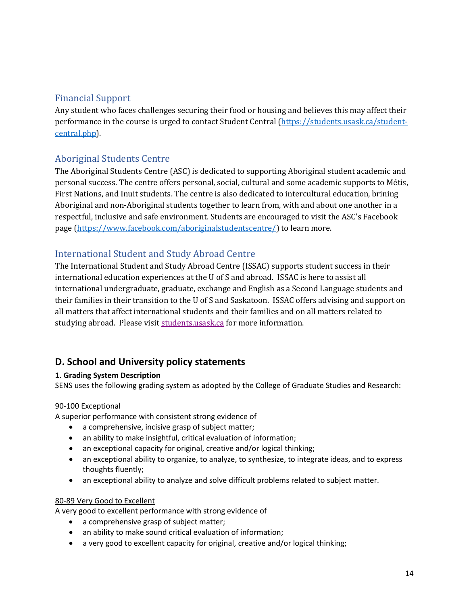## Financial Support

Any student who faces challenges securing their food or housing and believes this may affect their performance in the course is urged to contact Student Central [\(https://students.usask.ca/student](https://students.usask.ca/student-central.php)[central.php\)](https://students.usask.ca/student-central.php).

# Aboriginal Students Centre

The Aboriginal Students Centre (ASC) is dedicated to supporting Aboriginal student academic and personal success. The centre offers personal, social, cultural and some academic supports to Métis, First Nations, and Inuit students. The centre is also dedicated to intercultural education, brining Aboriginal and non-Aboriginal students together to learn from, with and about one another in a respectful, inclusive and safe environment. Students are encouraged to visit the ASC's Facebook page [\(https://www.facebook.com/aboriginalstudentscentre/\)](https://www.facebook.com/aboriginalstudentscentre/) to learn more.

# International Student and Study Abroad Centre

The International Student and Study Abroad Centre (ISSAC) supports student success in their international education experiences at the U of S and abroad. ISSAC is here to assist all international undergraduate, graduate, exchange and English as a Second Language students and their families in their transition to the U of S and Saskatoon. ISSAC offers advising and support on all matters that affect international students and their families and on all matters related to studying abroad. Please visi[t students.usask.ca](http://students.usask.ca/) for more information.

# **D. School and University policy statements**

### **1. Grading System Description**

SENS uses the following grading system as adopted by the College of Graduate Studies and Research:

### 90-100 Exceptional

A superior performance with consistent strong evidence of

- a comprehensive, incisive grasp of subject matter;
- an ability to make insightful, critical evaluation of information;
- an exceptional capacity for original, creative and/or logical thinking;
- an exceptional ability to organize, to analyze, to synthesize, to integrate ideas, and to express thoughts fluently;
- an exceptional ability to analyze and solve difficult problems related to subject matter.

### 80-89 Very Good to Excellent

A very good to excellent performance with strong evidence of

- a comprehensive grasp of subject matter;
- an ability to make sound critical evaluation of information;
- a very good to excellent capacity for original, creative and/or logical thinking;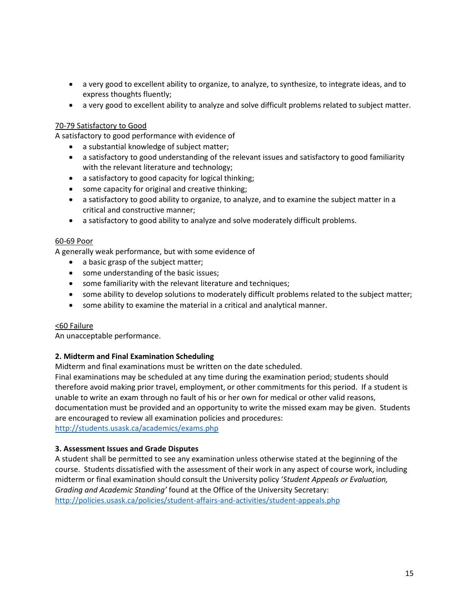- a very good to excellent ability to organize, to analyze, to synthesize, to integrate ideas, and to express thoughts fluently;
- a very good to excellent ability to analyze and solve difficult problems related to subject matter.

#### 70-79 Satisfactory to Good

A satisfactory to good performance with evidence of

- a substantial knowledge of subject matter;
- a satisfactory to good understanding of the relevant issues and satisfactory to good familiarity with the relevant literature and technology;
- a satisfactory to good capacity for logical thinking;
- some capacity for original and creative thinking;
- a satisfactory to good ability to organize, to analyze, and to examine the subject matter in a critical and constructive manner;
- a satisfactory to good ability to analyze and solve moderately difficult problems.

#### 60-69 Poor

A generally weak performance, but with some evidence of

- a basic grasp of the subject matter;
- some understanding of the basic issues;
- some familiarity with the relevant literature and techniques;
- some ability to develop solutions to moderately difficult problems related to the subject matter;
- some ability to examine the material in a critical and analytical manner.

#### <60 Failure

An unacceptable performance.

#### **2. Midterm and Final Examination Scheduling**

Midterm and final examinations must be written on the date scheduled.

Final examinations may be scheduled at any time during the examination period; students should therefore avoid making prior travel, employment, or other commitments for this period. If a student is unable to write an exam through no fault of his or her own for medical or other valid reasons, documentation must be provided and an opportunity to write the missed exam may be given. Students are encouraged to review all examination policies and procedures:

<http://students.usask.ca/academics/exams.php>

#### **3. Assessment Issues and Grade Disputes**

A student shall be permitted to see any examination unless otherwise stated at the beginning of the course. Students dissatisfied with the assessment of their work in any aspect of course work, including midterm or final examination should consult the University policy '*Student Appeals or Evaluation, Grading and Academic Standing'* found at the Office of the University Secretary: <http://policies.usask.ca/policies/student-affairs-and-activities/student-appeals.php>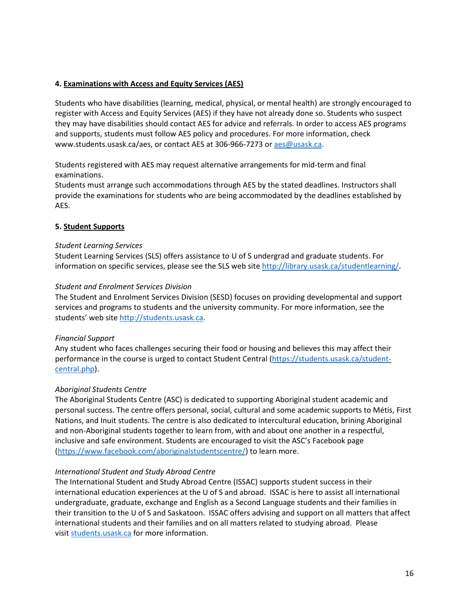### **4. Examinations with Access and Equity Services (AES)**

Students who have disabilities (learning, medical, physical, or mental health) are strongly encouraged to register with Access and Equity Services (AES) if they have not already done so. Students who suspect they may have disabilities should contact AES for advice and referrals. In order to access AES programs and supports, students must follow AES policy and procedures. For more information, check www.students.usask.ca/aes, or contact AES at 306-966-7273 o[r aes@usask.ca.](mailto:aes@usask.ca)

Students registered with AES may request alternative arrangements for mid-term and final examinations.

Students must arrange such accommodations through AES by the stated deadlines. Instructors shall provide the examinations for students who are being accommodated by the deadlines established by AES.

### **5. Student Supports**

#### *Student Learning Services*

Student Learning Services (SLS) offers assistance to U of S undergrad and graduate students. For information on specific services, please see the SLS web site [http://library.usask.ca/studentlearning/.](http://library.usask.ca/studentlearning/)

### *Student and Enrolment Services Division*

The Student and Enrolment Services Division (SESD) focuses on providing developmental and support services and programs to students and the university community. For more information, see the students' web site [http://students.usask.ca.](http://students.usask.ca/)

### *Financial Support*

Any student who faces challenges securing their food or housing and believes this may affect their performance in the course is urged to contact Student Central [\(https://students.usask.ca/student](https://students.usask.ca/student-central.php)[central.php\)](https://students.usask.ca/student-central.php).

#### *Aboriginal Students Centre*

The Aboriginal Students Centre (ASC) is dedicated to supporting Aboriginal student academic and personal success. The centre offers personal, social, cultural and some academic supports to Métis, First Nations, and Inuit students. The centre is also dedicated to intercultural education, brining Aboriginal and non-Aboriginal students together to learn from, with and about one another in a respectful, inclusive and safe environment. Students are encouraged to visit the ASC's Facebook page [\(https://www.facebook.com/aboriginalstudentscentre/\)](https://www.facebook.com/aboriginalstudentscentre/) to learn more.

#### *International Student and Study Abroad Centre*

The International Student and Study Abroad Centre (ISSAC) supports student success in their international education experiences at the U of S and abroad. ISSAC is here to assist all international undergraduate, graduate, exchange and English as a Second Language students and their families in their transition to the U of S and Saskatoon. ISSAC offers advising and support on all matters that affect international students and their families and on all matters related to studying abroad. Please visi[t students.usask.ca](http://students.usask.ca/) for more information.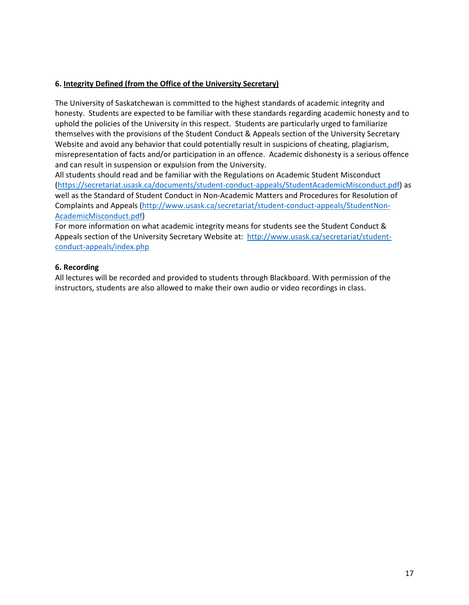### **6. Integrity Defined (from the Office of the University Secretary)**

The University of Saskatchewan is committed to the highest standards of academic integrity and honesty. Students are expected to be familiar with these standards regarding academic honesty and to uphold the policies of the University in this respect. Students are particularly urged to familiarize themselves with the provisions of the Student Conduct & Appeals section of the University Secretary Website and avoid any behavior that could potentially result in suspicions of cheating, plagiarism, misrepresentation of facts and/or participation in an offence. Academic dishonesty is a serious offence and can result in suspension or expulsion from the University.

All students should read and be familiar with the Regulations on Academic Student Misconduct [\(https://secretariat.usask.ca/documents/student-conduct-appeals/StudentAcademicMisconduct.pdf\)](https://secretariat.usask.ca/documents/student-conduct-appeals/StudentAcademicMisconduct.pdf) as well as the Standard of Student Conduct in Non-Academic Matters and Procedures for Resolution of Complaints and Appeals [\(http://www.usask.ca/secretariat/student-conduct-appeals/StudentNon-](http://www.usask.ca/secretariat/student-conduct-appeals/StudentNon-AcademicMisconduct.pdf)[AcademicMisconduct.pdf\)](http://www.usask.ca/secretariat/student-conduct-appeals/StudentNon-AcademicMisconduct.pdf)

For more information on what academic integrity means for students see the Student Conduct & Appeals section of the University Secretary Website at: [http://www.usask.ca/secretariat/student](http://www.usask.ca/secretariat/student-conduct-appeals/index.php)[conduct-appeals/index.php](http://www.usask.ca/secretariat/student-conduct-appeals/index.php)

#### **6. Recording**

All lectures will be recorded and provided to students through Blackboard. With permission of the instructors, students are also allowed to make their own audio or video recordings in class.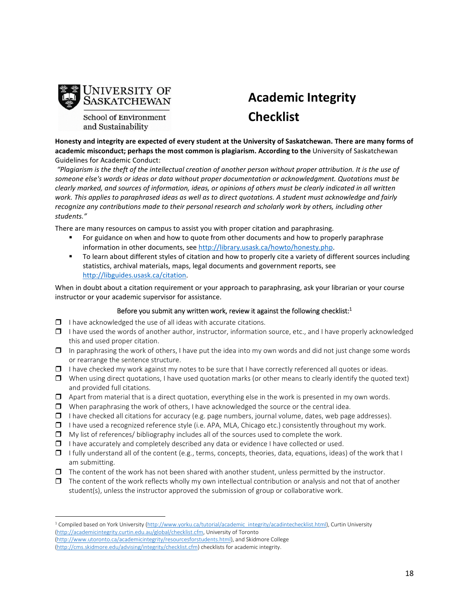

School of Environment and Sustainability

# **Academic Integrity Checklist**

**Honesty and integrity are expected of every student at the University of Saskatchewan. There are many forms of academic misconduct; perhaps the most common is plagiarism. According to the** University of Saskatchewan Guidelines for Academic Conduct:

 *"Plagiarism is the theft of the intellectual creation of another person without proper attribution. It is the use of someone else's words or ideas or data without proper documentation or acknowledgment. Quotations must be clearly marked, and sources of information, ideas, or opinions of others must be clearly indicated in all written*  work. This applies to paraphrased ideas as well as to direct quotations. A student must acknowledge and fairly *recognize any contributions made to their personal research and scholarly work by others, including other students."* 

There are many resources on campus to assist you with proper citation and paraphrasing.

- For guidance on when and how to quote from other documents and how to properly paraphrase information in other documents, se[e http://library.usask.ca/howto/honesty.php.](http://library.usask.ca/howto/honesty.php)
- To learn about different styles of citation and how to properly cite a variety of different sources including statistics, archival materials, maps, legal documents and government reports, see [http://libguides.usask.ca/citation.](http://libguides.usask.ca/citation)

When in doubt about a citation requirement or your approach to paraphrasing, ask your librarian or your course instructor or your academic supervisor for assistance.

#### Before you submit any written work, review it against the following checklist: $1$

- $\Box$  I have acknowledged the use of all ideas with accurate citations.
- $\Box$  I have used the words of another author, instructor, information source, etc., and I have properly acknowledged this and used proper citation.
- $\Box$  In paraphrasing the work of others, I have put the idea into my own words and did not just change some words or rearrange the sentence structure.
- $\Box$  I have checked my work against my notes to be sure that I have correctly referenced all quotes or ideas.
- $\Box$  When using direct quotations, I have used quotation marks (or other means to clearly identify the quoted text) and provided full citations.
- $\Box$  Apart from material that is a direct quotation, everything else in the work is presented in my own words.
- $\Box$  When paraphrasing the work of others, I have acknowledged the source or the central idea.
- $\Box$  I have checked all citations for accuracy (e.g. page numbers, journal volume, dates, web page addresses).
- $\Box$  I have used a recognized reference style (i.e. APA, MLA, Chicago etc.) consistently throughout my work.
- $\Box$  My list of references/ bibliography includes all of the sources used to complete the work.
- $\Box$  I have accurately and completely described any data or evidence I have collected or used.
- $\Box$  I fully understand all of the content (e.g., terms, concepts, theories, data, equations, ideas) of the work that I am submitting.
- $\Box$  The content of the work has not been shared with another student, unless permitted by the instructor.
- $\Box$  The content of the work reflects wholly my own intellectual contribution or analysis and not that of another student(s), unless the instructor approved the submission of group or collaborative work.

 $\overline{a}$ 

<sup>&</sup>lt;sup>1</sup> Compiled based on York University [\(http://www.yorku.ca/tutorial/academic\\_integrity/acadintechecklist.html\)](http://www.yorku.ca/tutorial/academic_integrity/acadintechecklist.html), Curtin University [\(http://academicintegrity.curtin.edu.au/global/checklist.cfm,](http://academicintegrity.curtin.edu.au/global/checklist.cfm) University of Toronto [\(http://www.utoronto.ca/academicintegrity/resourcesforstudents.html\)](http://www.utoronto.ca/academicintegrity/resourcesforstudents.html), and Skidmore College

[<sup>\(</sup>http://cms.skidmore.edu/advising/integrity/checklist.cfm\)](http://cms.skidmore.edu/advising/integrity/checklist.cfm) checklists for academic integrity.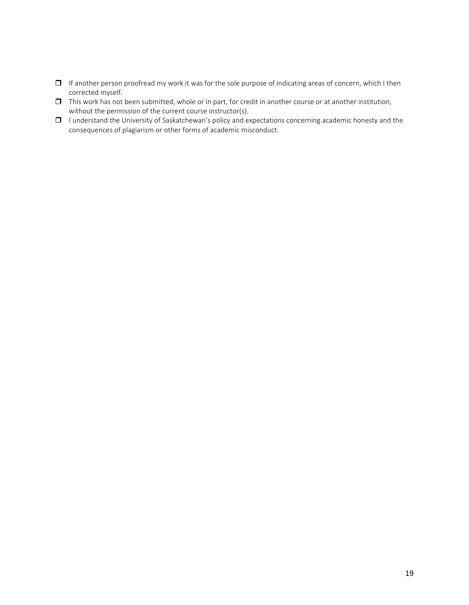- $\Box$  If another person proofread my work it was for the sole purpose of indicating areas of concern, which I then corrected myself.
- $\Box$  This work has not been submitted, whole or in part, for credit in another course or at another institution, without the permission of the current course instructor(s).
- $\Box$  I understand the University of Saskatchewan's policy and expectations concerning academic honesty and the consequences of plagiarism or other forms of academic misconduct.